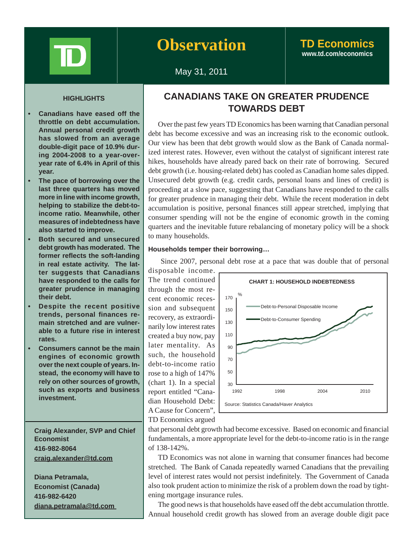

## **Observation TD Economics**

# **www.td.com/economics**

## May 31, 2011

## **HIGHLIGHTS**

- **Canadians have eased off the throttle on debt accumulation. Annual personal credit growth has slowed from an average double-digit pace of 10.9% during 2004-2008 to a year-overyear rate of 6.4% in April of this year.**
- **The pace of borrowing over the last three quarters has moved more in line with income growth, helping to stabilize the debt-toincome ratio. Meanwhile, other measures of indebtedness have also started to improve.**
- **Both secured and unsecured debt growth has moderated. The former reflects the soft-landing in real estate activity. The latter suggests that Canadians have responded to the calls for greater prudence in managing their debt.**
- **Despite the recent positive trends, personal finances remain stretched and are vulnerable to a future rise in interest rates.**
- **Consumers cannot be the main engines of economic growth over the next couple of years. Instead, the economy will have to rely on other sources of growth, such as exports and business investment.**

 **Craig Alexander, SVP and Chief Economist 416-982-8064 craig.alexander@td.com**

 **Diana Petramala, Economist (Canada) 416-982-6420 diana.petramala@td.com** 

## **CANADIANS TAKE ON GREATER PRUDENCE TOWARDS DEBT**

Over the past few years TD Economics has been warning that Canadian personal debt has become excessive and was an increasing risk to the economic outlook. Our view has been that debt growth would slow as the Bank of Canada normalized interest rates. However, even without the catalyst of significant interest rate hikes, households have already pared back on their rate of borrowing. Secured debt growth (i.e. housing-related debt) has cooled as Canadian home sales dipped. Unsecured debt growth (e.g. credit cards, personal loans and lines of credit) is proceeding at a slow pace, suggesting that Canadians have responded to the calls for greater prudence in managing their debt. While the recent moderation in debt accumulation is positive, personal finances still appear stretched, implying that consumer spending will not be the engine of economic growth in the coming quarters and the inevitable future rebalancing of monetary policy will be a shock to many households.

#### **Households temper their borrowing…**

Since 2007, personal debt rose at a pace that was double that of personal

disposable income. The trend continued through the most recent economic recession and subsequent recovery, as extraordinarily low interest rates created a buy now, pay later mentality. As such, the household debt-to-income ratio rose to a high of 147% (chart 1). In a special report entitled "Canadian Household Debt: A Cause for Concern", TD Economics argued



that personal debt growth had become excessive. Based on economic and financial fundamentals, a more appropriate level for the debt-to-income ratio is in the range of 138-142%.

TD Economics was not alone in warning that consumer finances had become stretched. The Bank of Canada repeatedly warned Canadians that the prevailing level of interest rates would not persist indefinitely. The Government of Canada also took prudent action to minimize the risk of a problem down the road by tightening mortgage insurance rules.

The good news is that households have eased off the debt accumulation throttle. Annual household credit growth has slowed from an average double digit pace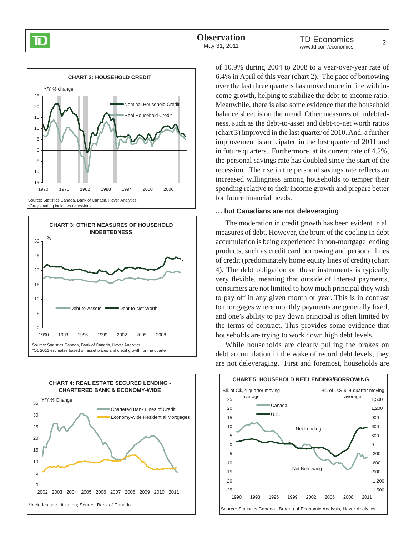





of 10.9% during 2004 to 2008 to a year-over-year rate of 6.4% in April of this year (chart 2). The pace of borrowing over the last three quarters has moved more in line with income growth, helping to stabilize the debt-to-income ratio. Meanwhile, there is also some evidence that the household balance sheet is on the mend. Other measures of indebtedness, such as the debt-to-asset and debt-to-net worth ratios (chart 3) improved in the last quarter of 2010. And, a further improvement is anticipated in the first quarter of 2011 and in future quarters. Furthermore, at its current rate of 4.2%, the personal savings rate has doubled since the start of the recession. The rise in the personal savings rate reflects an increased willingness among households to temper their spending relative to their income growth and prepare better for future financial needs.

### **… but Canadians are not deleveraging**

The moderation in credit growth has been evident in all measures of debt. However, the brunt of the cooling in debt accumulation is being experienced in non-mortgage lending products, such as credit card borrowing and personal lines of credit (predominately home equity lines of credit) (chart 4). The debt obligation on these instruments is typically very flexible, meaning that outside of interest payments, consumers are not limited to how much principal they wish to pay off in any given month or year. This is in contrast to mortgages where monthly payments are generally fixed, and one's ability to pay down principal is often limited by the terms of contract. This provides some evidence that households are trying to work down high debt levels.

While households are clearly pulling the brakes on debt accumulation in the wake of record debt levels, they are not deleveraging. First and foremost, households are

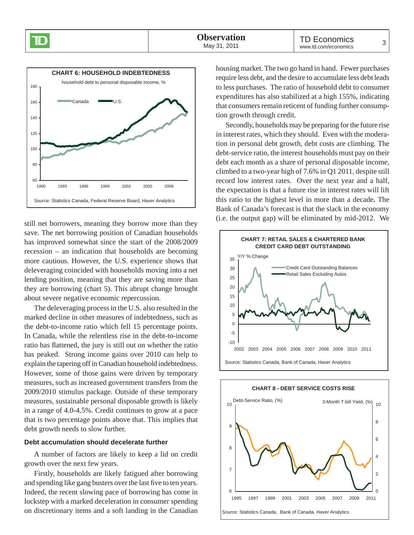

still net borrowers, meaning they borrow more than they save. The net borrowing position of Canadian households has improved somewhat since the start of the 2008/2009 recession – an indication that households are becoming more cautious. However, the U.S. experience shows that deleveraging coincided with households moving into a net lending position, meaning that they are saving more than they are borrowing (chart 5). This abrupt change brought about severe negative economic repercussion.

The deleveraging process in the U.S. also resulted in the marked decline in other measures of indebtedness, such as the debt-to-income ratio which fell 15 percentage points. In Canada, while the relentless rise in the debt-to-income ratio has flattened, the jury is still out on whether the ratio has peaked. Strong income gains over 2010 can help to explain the tapering off in Canadian household indebtedness. However, some of those gains were driven by temporary measures, such as increased government transfers from the 2009/2010 stimulus package. Outside of these temporary measures, sustainable personal disposable growth is likely in a range of 4.0-4.5%. Credit continues to grow at a pace that is two percentage points above that. This implies that debt growth needs to slow further.

#### **Debt accumulation should decelerate further**

A number of factors are likely to keep a lid on credit growth over the next few years.

Firstly, households are likely fatigued after borrowing and spending like gang busters over the last five to ten years. Indeed, the recent slowing pace of borrowing has come in lockstep with a marked deceleration in consumer spending on discretionary items and a soft landing in the Canadian

housing market. The two go hand in hand. Fewer purchases require less debt, and the desire to accumulate less debt leads to less purchases. The ratio of household debt to consumer expenditures has also stabilized at a high 155%, indicating that consumers remain reticent of funding further consumption growth through credit.

Secondly, households may be preparing for the future rise in interest rates, which they should. Even with the moderation in personal debt growth, debt costs are climbing. The debt-service ratio, the interest households must pay on their debt each month as a share of personal disposable income, climbed to a two-year high of 7.6% in Q1 2011, despite still record low interest rates. Over the next year and a half, the expectation is that a future rise in interest rates will lift this ratio to the highest level in more than a decade**.** The Bank of Canada's forecast is that the slack in the economy (i.e. the output gap) will be eliminated by mid-2012. We